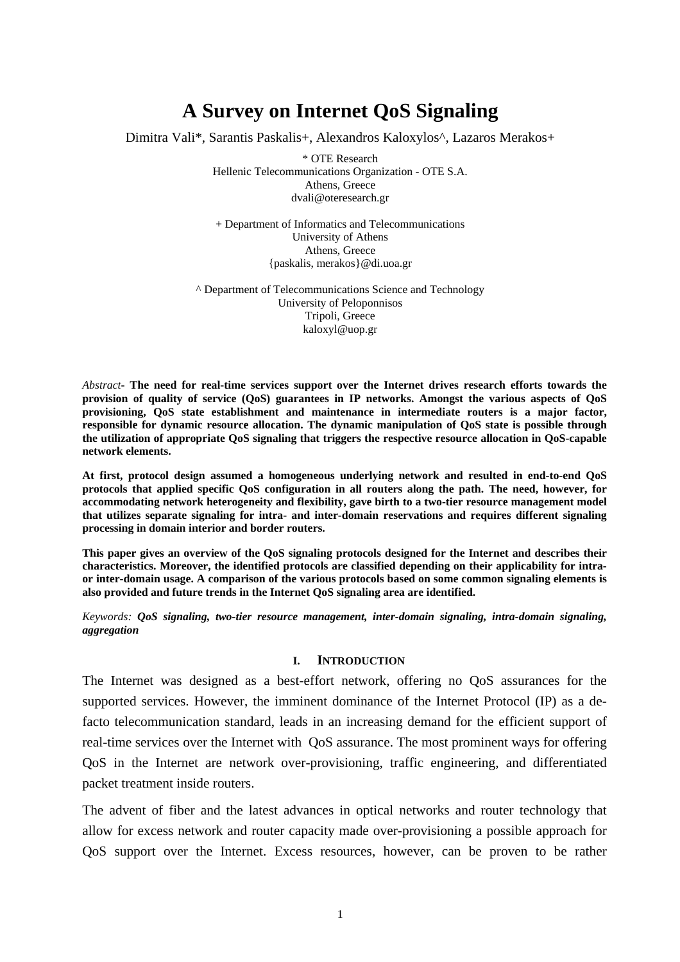# **A Survey on Internet QoS Signaling**

Dimitra Vali\*, Sarantis Paskalis+, Alexandros Kaloxylos^, Lazaros Merakos+

\* OTE Research Hellenic Telecommunications Organization - OTE S.A. Athens, Greece dvali@oteresearch.gr

+ Department of Informatics and Telecommunications University of Athens Athens, Greece {paskalis, merakos}@di.uoa.gr

^ Department of Telecommunications Science and Technology University of Peloponnisos Tripoli, Greece kaloxyl@uop.gr

*Abstract***- The need for real-time services support over the Internet drives research efforts towards the provision of quality of service (QoS) guarantees in IP networks. Amongst the various aspects of QoS provisioning, QoS state establishment and maintenance in intermediate routers is a major factor, responsible for dynamic resource allocation. The dynamic manipulation of QoS state is possible through the utilization of appropriate QoS signaling that triggers the respective resource allocation in QoS-capable network elements.** 

**At first, protocol design assumed a homogeneous underlying network and resulted in end-to-end QoS protocols that applied specific QoS configuration in all routers along the path. The need, however, for accommodating network heterogeneity and flexibility, gave birth to a two-tier resource management model that utilizes separate signaling for intra- and inter-domain reservations and requires different signaling processing in domain interior and border routers.** 

**This paper gives an overview of the QoS signaling protocols designed for the Internet and describes their characteristics. Moreover, the identified protocols are classified depending on their applicability for intraor inter-domain usage. A comparison of the various protocols based on some common signaling elements is also provided and future trends in the Internet QoS signaling area are identified.** 

*Keywords: QoS signaling, two-tier resource management, inter-domain signaling, intra-domain signaling, aggregation*

### **I. INTRODUCTION**

The Internet was designed as a best-effort network, offering no QoS assurances for the supported services. However, the imminent dominance of the Internet Protocol (IP) as a defacto telecommunication standard, leads in an increasing demand for the efficient support of real-time services over the Internet with QoS assurance. The most prominent ways for offering QoS in the Internet are network over-provisioning, traffic engineering, and differentiated packet treatment inside routers.

The advent of fiber and the latest advances in optical networks and router technology that allow for excess network and router capacity made over-provisioning a possible approach for QoS support over the Internet. Excess resources, however, can be proven to be rather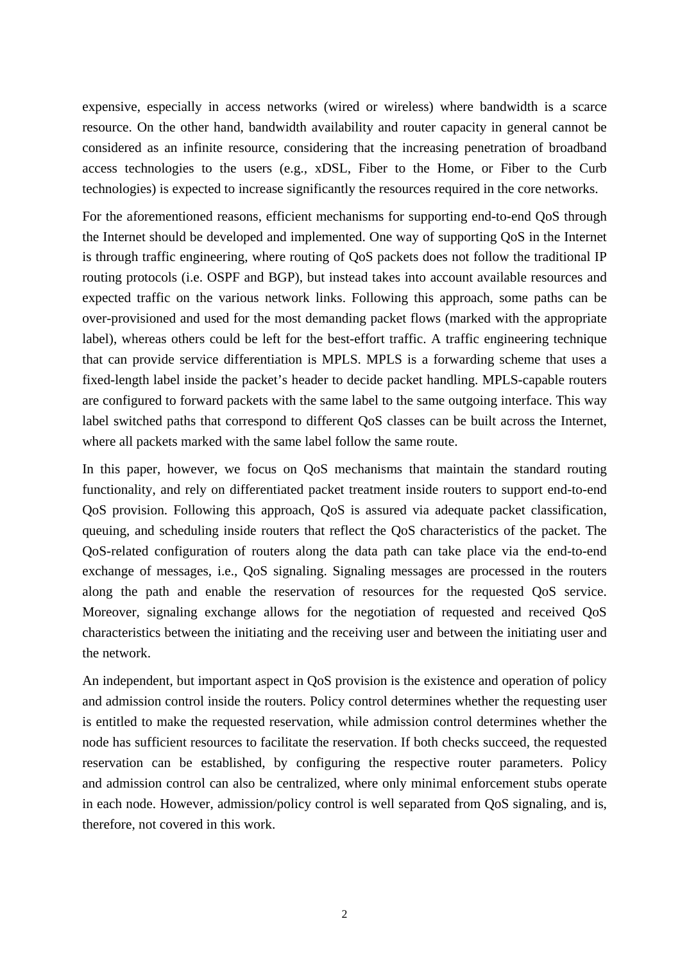expensive, especially in access networks (wired or wireless) where bandwidth is a scarce resource. On the other hand, bandwidth availability and router capacity in general cannot be considered as an infinite resource, considering that the increasing penetration of broadband access technologies to the users (e.g., xDSL, Fiber to the Home, or Fiber to the Curb technologies) is expected to increase significantly the resources required in the core networks.

For the aforementioned reasons, efficient mechanisms for supporting end-to-end QoS through the Internet should be developed and implemented. One way of supporting QoS in the Internet is through traffic engineering, where routing of QoS packets does not follow the traditional IP routing protocols (i.e. OSPF and BGP), but instead takes into account available resources and expected traffic on the various network links. Following this approach, some paths can be over-provisioned and used for the most demanding packet flows (marked with the appropriate label), whereas others could be left for the best-effort traffic. A traffic engineering technique that can provide service differentiation is MPLS. MPLS is a forwarding scheme that uses a fixed-length label inside the packet's header to decide packet handling. MPLS-capable routers are configured to forward packets with the same label to the same outgoing interface. This way label switched paths that correspond to different QoS classes can be built across the Internet, where all packets marked with the same label follow the same route.

In this paper, however, we focus on QoS mechanisms that maintain the standard routing functionality, and rely on differentiated packet treatment inside routers to support end-to-end QoS provision. Following this approach, QoS is assured via adequate packet classification, queuing, and scheduling inside routers that reflect the QoS characteristics of the packet. The QoS-related configuration of routers along the data path can take place via the end-to-end exchange of messages, i.e., QoS signaling. Signaling messages are processed in the routers along the path and enable the reservation of resources for the requested QoS service. Moreover, signaling exchange allows for the negotiation of requested and received QoS characteristics between the initiating and the receiving user and between the initiating user and the network.

An independent, but important aspect in QoS provision is the existence and operation of policy and admission control inside the routers. Policy control determines whether the requesting user is entitled to make the requested reservation, while admission control determines whether the node has sufficient resources to facilitate the reservation. If both checks succeed, the requested reservation can be established, by configuring the respective router parameters. Policy and admission control can also be centralized, where only minimal enforcement stubs operate in each node. However, admission/policy control is well separated from QoS signaling, and is, therefore, not covered in this work.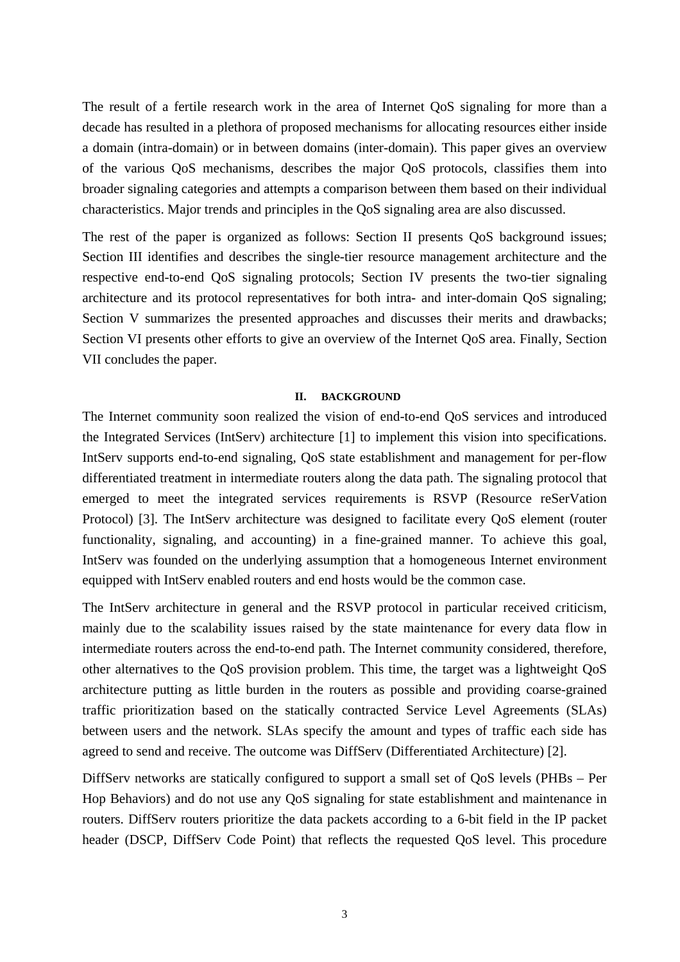The result of a fertile research work in the area of Internet QoS signaling for more than a decade has resulted in a plethora of proposed mechanisms for allocating resources either inside a domain (intra-domain) or in between domains (inter-domain). This paper gives an overview of the various QoS mechanisms, describes the major QoS protocols, classifies them into broader signaling categories and attempts a comparison between them based on their individual characteristics. Major trends and principles in the QoS signaling area are also discussed.

The rest of the paper is organized as follows: Section II presents QoS background issues; Section III identifies and describes the single-tier resource management architecture and the respective end-to-end QoS signaling protocols; Section IV presents the two-tier signaling architecture and its protocol representatives for both intra- and inter-domain QoS signaling; Section V summarizes the presented approaches and discusses their merits and drawbacks; Section VI presents other efforts to give an overview of the Internet QoS area. Finally, Section VII concludes the paper.

#### **II. BACKGROUND**

The Internet community soon realized the vision of end-to-end QoS services and introduced the Integrated Services (IntServ) architecture [1] to implement this vision into specifications. IntServ supports end-to-end signaling, QoS state establishment and management for per-flow differentiated treatment in intermediate routers along the data path. The signaling protocol that emerged to meet the integrated services requirements is RSVP (Resource reSerVation Protocol) [3]. The IntServ architecture was designed to facilitate every QoS element (router functionality, signaling, and accounting) in a fine-grained manner. To achieve this goal, IntServ was founded on the underlying assumption that a homogeneous Internet environment equipped with IntServ enabled routers and end hosts would be the common case.

The IntServ architecture in general and the RSVP protocol in particular received criticism, mainly due to the scalability issues raised by the state maintenance for every data flow in intermediate routers across the end-to-end path. The Internet community considered, therefore, other alternatives to the QoS provision problem. This time, the target was a lightweight QoS architecture putting as little burden in the routers as possible and providing coarse-grained traffic prioritization based on the statically contracted Service Level Agreements (SLAs) between users and the network. SLAs specify the amount and types of traffic each side has agreed to send and receive. The outcome was DiffServ (Differentiated Architecture) [2].

DiffServ networks are statically configured to support a small set of QoS levels (PHBs – Per Hop Behaviors) and do not use any QoS signaling for state establishment and maintenance in routers. DiffServ routers prioritize the data packets according to a 6-bit field in the IP packet header (DSCP, DiffServ Code Point) that reflects the requested QoS level. This procedure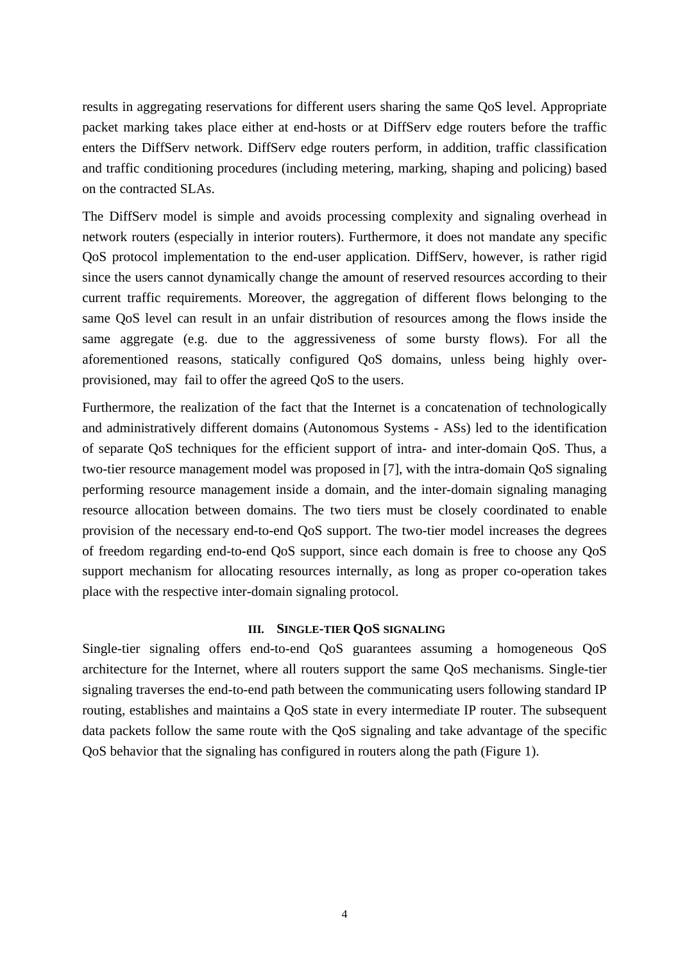results in aggregating reservations for different users sharing the same QoS level. Appropriate packet marking takes place either at end-hosts or at DiffServ edge routers before the traffic enters the DiffServ network. DiffServ edge routers perform, in addition, traffic classification and traffic conditioning procedures (including metering, marking, shaping and policing) based on the contracted SLAs.

The DiffServ model is simple and avoids processing complexity and signaling overhead in network routers (especially in interior routers). Furthermore, it does not mandate any specific QoS protocol implementation to the end-user application. DiffServ, however, is rather rigid since the users cannot dynamically change the amount of reserved resources according to their current traffic requirements. Moreover, the aggregation of different flows belonging to the same QoS level can result in an unfair distribution of resources among the flows inside the same aggregate (e.g. due to the aggressiveness of some bursty flows). For all the aforementioned reasons, statically configured QoS domains, unless being highly overprovisioned, may fail to offer the agreed QoS to the users.

Furthermore, the realization of the fact that the Internet is a concatenation of technologically and administratively different domains (Autonomous Systems - ASs) led to the identification of separate QoS techniques for the efficient support of intra- and inter-domain QoS. Thus, a two-tier resource management model was proposed in [7], with the intra-domain QoS signaling performing resource management inside a domain, and the inter-domain signaling managing resource allocation between domains. The two tiers must be closely coordinated to enable provision of the necessary end-to-end QoS support. The two-tier model increases the degrees of freedom regarding end-to-end QoS support, since each domain is free to choose any QoS support mechanism for allocating resources internally, as long as proper co-operation takes place with the respective inter-domain signaling protocol.

#### **III. SINGLE-TIER QOS SIGNALING**

Single-tier signaling offers end-to-end QoS guarantees assuming a homogeneous QoS architecture for the Internet, where all routers support the same QoS mechanisms. Single-tier signaling traverses the end-to-end path between the communicating users following standard IP routing, establishes and maintains a QoS state in every intermediate IP router. The subsequent data packets follow the same route with the QoS signaling and take advantage of the specific QoS behavior that the signaling has configured in routers along the path (Figure 1).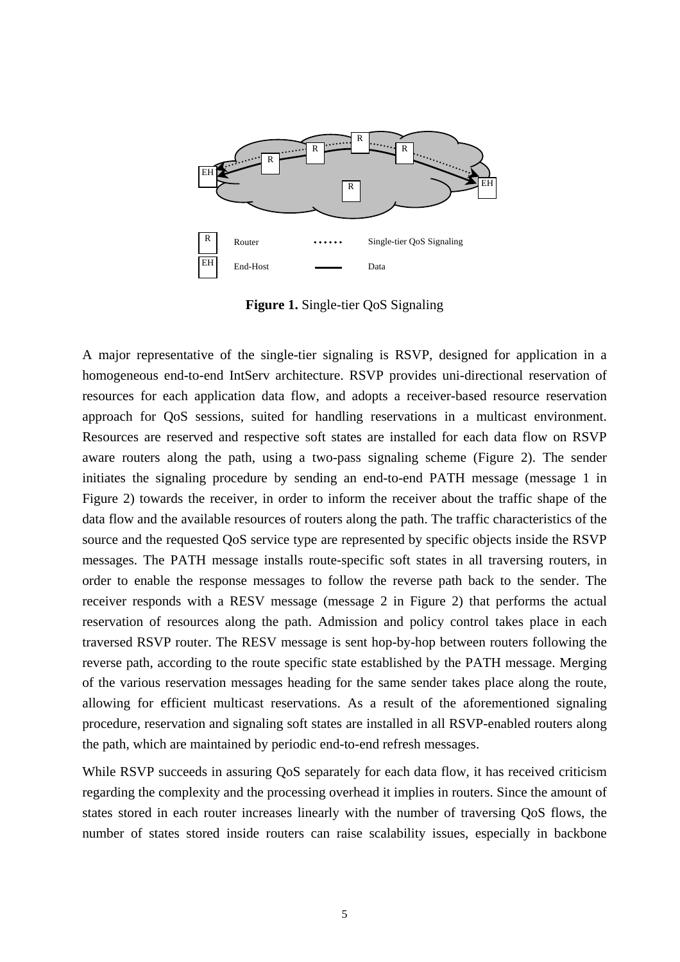

**Figure 1.** Single-tier QoS Signaling

A major representative of the single-tier signaling is RSVP, designed for application in a homogeneous end-to-end IntServ architecture. RSVP provides uni-directional reservation of resources for each application data flow, and adopts a receiver-based resource reservation approach for QoS sessions, suited for handling reservations in a multicast environment. Resources are reserved and respective soft states are installed for each data flow on RSVP aware routers along the path, using a two-pass signaling scheme (Figure 2). The sender initiates the signaling procedure by sending an end-to-end PATH message (message 1 in Figure 2) towards the receiver, in order to inform the receiver about the traffic shape of the data flow and the available resources of routers along the path. The traffic characteristics of the source and the requested QoS service type are represented by specific objects inside the RSVP messages. The PATH message installs route-specific soft states in all traversing routers, in order to enable the response messages to follow the reverse path back to the sender. The receiver responds with a RESV message (message 2 in Figure 2) that performs the actual reservation of resources along the path. Admission and policy control takes place in each traversed RSVP router. The RESV message is sent hop-by-hop between routers following the reverse path, according to the route specific state established by the PATH message. Merging of the various reservation messages heading for the same sender takes place along the route, allowing for efficient multicast reservations. As a result of the aforementioned signaling procedure, reservation and signaling soft states are installed in all RSVP-enabled routers along the path, which are maintained by periodic end-to-end refresh messages.

While RSVP succeeds in assuring QoS separately for each data flow, it has received criticism regarding the complexity and the processing overhead it implies in routers. Since the amount of states stored in each router increases linearly with the number of traversing QoS flows, the number of states stored inside routers can raise scalability issues, especially in backbone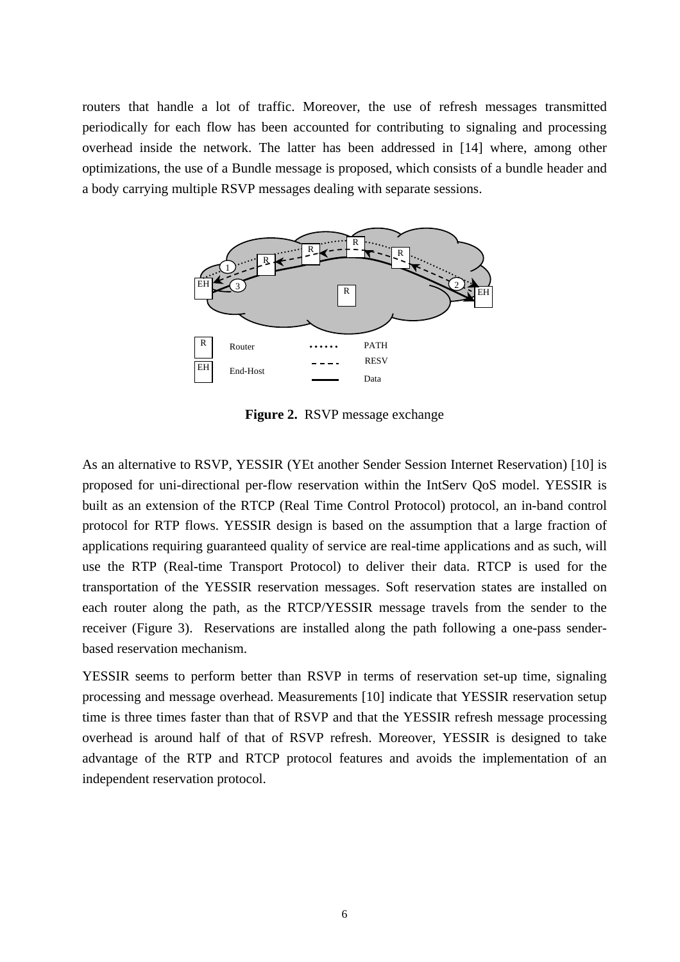routers that handle a lot of traffic. Moreover, the use of refresh messages transmitted periodically for each flow has been accounted for contributing to signaling and processing overhead inside the network. The latter has been addressed in [14] where, among other optimizations, the use of a Bundle message is proposed, which consists of a bundle header and a body carrying multiple RSVP messages dealing with separate sessions.



**Figure 2.** RSVP message exchange

As an alternative to RSVP, YESSIR (YEt another Sender Session Internet Reservation) [10] is proposed for uni-directional per-flow reservation within the IntServ QoS model. YESSIR is built as an extension of the RTCP (Real Time Control Protocol) protocol, an in-band control protocol for RTP flows. YESSIR design is based on the assumption that a large fraction of applications requiring guaranteed quality of service are real-time applications and as such, will use the RTP (Real-time Transport Protocol) to deliver their data. RTCP is used for the transportation of the YESSIR reservation messages. Soft reservation states are installed on each router along the path, as the RTCP/YESSIR message travels from the sender to the receiver (Figure 3). Reservations are installed along the path following a one-pass senderbased reservation mechanism.

YESSIR seems to perform better than RSVP in terms of reservation set-up time, signaling processing and message overhead. Measurements [10] indicate that YESSIR reservation setup time is three times faster than that of RSVP and that the YESSIR refresh message processing overhead is around half of that of RSVP refresh. Moreover, YESSIR is designed to take advantage of the RTP and RTCP protocol features and avoids the implementation of an independent reservation protocol.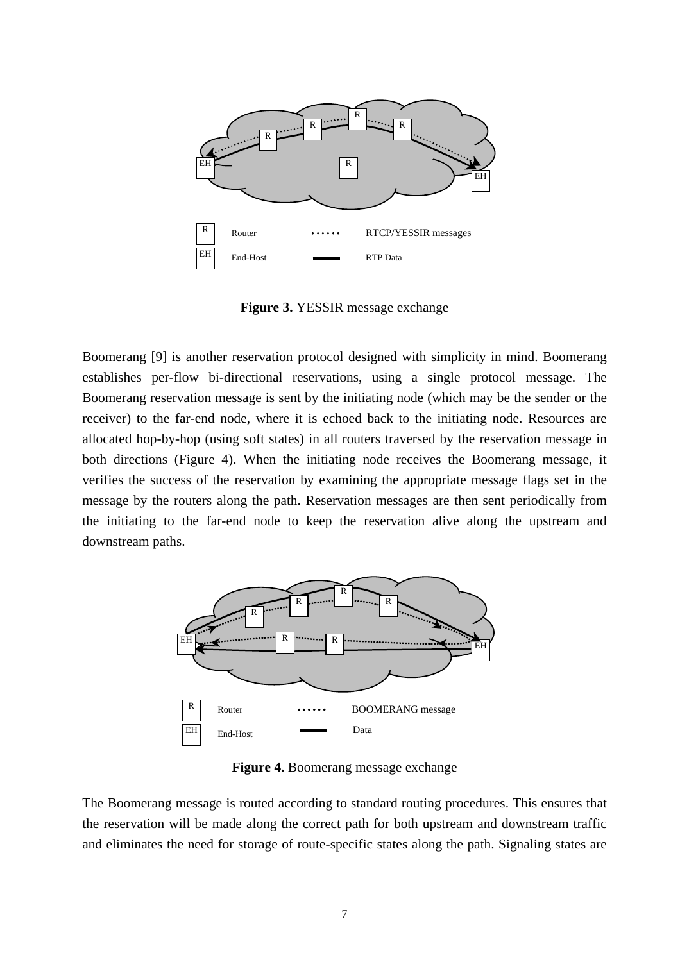

**Figure 3.** YESSIR message exchange

Boomerang [9] is another reservation protocol designed with simplicity in mind. Boomerang establishes per-flow bi-directional reservations, using a single protocol message. The Boomerang reservation message is sent by the initiating node (which may be the sender or the receiver) to the far-end node, where it is echoed back to the initiating node. Resources are allocated hop-by-hop (using soft states) in all routers traversed by the reservation message in both directions (Figure 4). When the initiating node receives the Boomerang message, it verifies the success of the reservation by examining the appropriate message flags set in the message by the routers along the path. Reservation messages are then sent periodically from the initiating to the far-end node to keep the reservation alive along the upstream and downstream paths.



**Figure 4.** Boomerang message exchange

The Boomerang message is routed according to standard routing procedures. This ensures that the reservation will be made along the correct path for both upstream and downstream traffic and eliminates the need for storage of route-specific states along the path. Signaling states are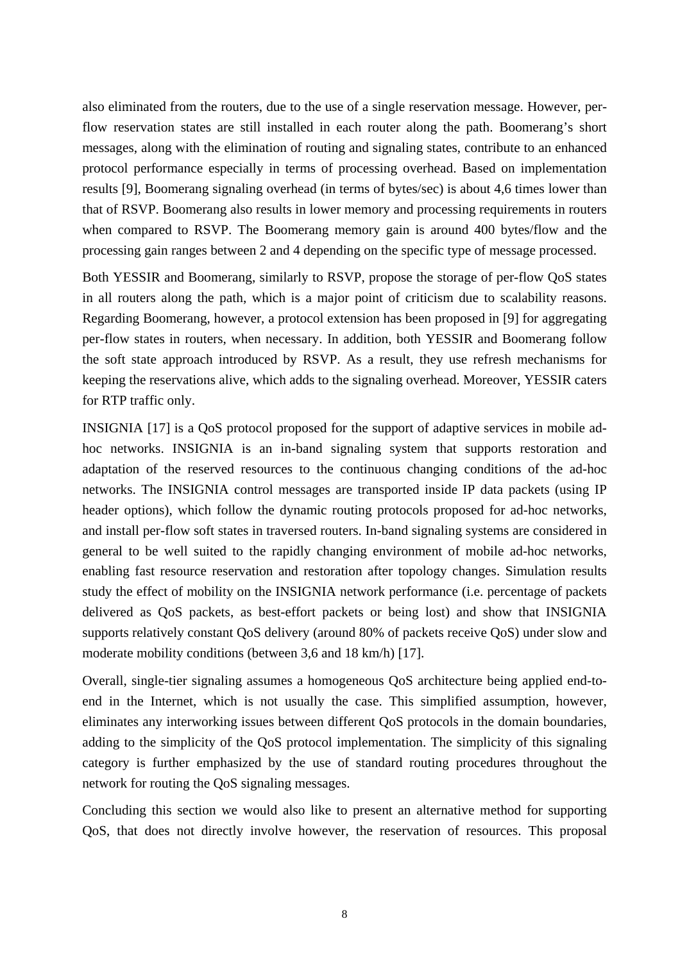also eliminated from the routers, due to the use of a single reservation message. However, perflow reservation states are still installed in each router along the path. Boomerang's short messages, along with the elimination of routing and signaling states, contribute to an enhanced protocol performance especially in terms of processing overhead. Based on implementation results [9], Boomerang signaling overhead (in terms of bytes/sec) is about 4,6 times lower than that of RSVP. Boomerang also results in lower memory and processing requirements in routers when compared to RSVP. The Boomerang memory gain is around 400 bytes/flow and the processing gain ranges between 2 and 4 depending on the specific type of message processed.

Both YESSIR and Boomerang, similarly to RSVP, propose the storage of per-flow QoS states in all routers along the path, which is a major point of criticism due to scalability reasons. Regarding Boomerang, however, a protocol extension has been proposed in [9] for aggregating per-flow states in routers, when necessary. In addition, both YESSIR and Boomerang follow the soft state approach introduced by RSVP. As a result, they use refresh mechanisms for keeping the reservations alive, which adds to the signaling overhead. Moreover, YESSIR caters for RTP traffic only.

INSIGNIA [17] is a QoS protocol proposed for the support of adaptive services in mobile adhoc networks. INSIGNIA is an in-band signaling system that supports restoration and adaptation of the reserved resources to the continuous changing conditions of the ad-hoc networks. The INSIGNIA control messages are transported inside IP data packets (using IP header options), which follow the dynamic routing protocols proposed for ad-hoc networks, and install per-flow soft states in traversed routers. In-band signaling systems are considered in general to be well suited to the rapidly changing environment of mobile ad-hoc networks, enabling fast resource reservation and restoration after topology changes. Simulation results study the effect of mobility on the INSIGNIA network performance (i.e. percentage of packets delivered as QoS packets, as best-effort packets or being lost) and show that INSIGNIA supports relatively constant QoS delivery (around 80% of packets receive QoS) under slow and moderate mobility conditions (between 3,6 and 18 km/h) [17].

Overall, single-tier signaling assumes a homogeneous QoS architecture being applied end-toend in the Internet, which is not usually the case. This simplified assumption, however, eliminates any interworking issues between different QoS protocols in the domain boundaries, adding to the simplicity of the QoS protocol implementation. The simplicity of this signaling category is further emphasized by the use of standard routing procedures throughout the network for routing the QoS signaling messages.

Concluding this section we would also like to present an alternative method for supporting QoS, that does not directly involve however, the reservation of resources. This proposal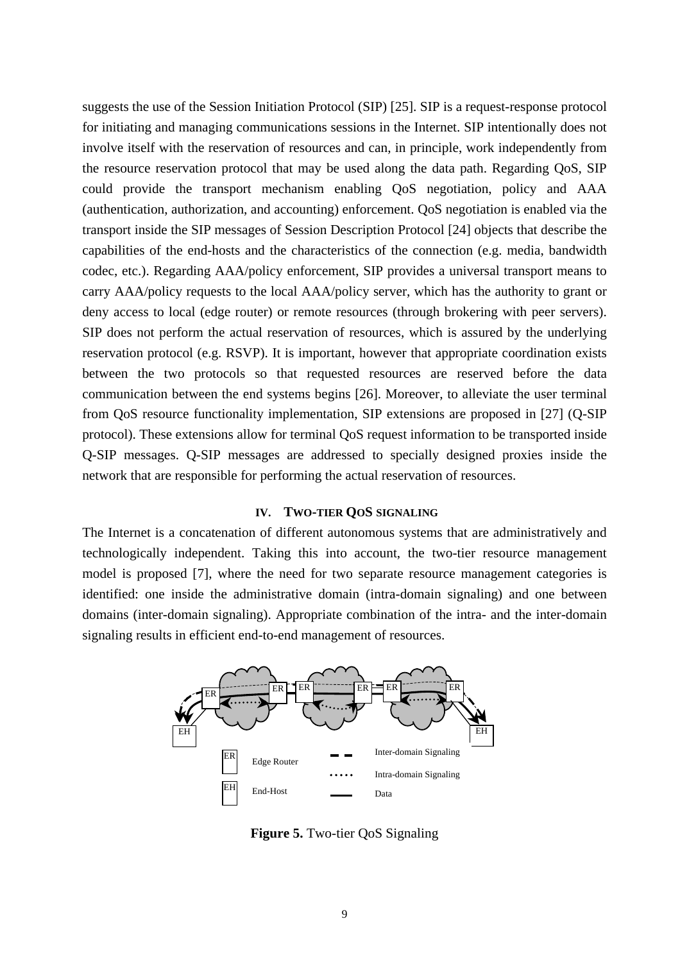suggests the use of the Session Initiation Protocol (SIP) [25]. SIP is a request-response protocol for initiating and managing communications sessions in the Internet. SIP intentionally does not involve itself with the reservation of resources and can, in principle, work independently from the resource reservation protocol that may be used along the data path. Regarding QoS, SIP could provide the transport mechanism enabling QoS negotiation, policy and AAA (authentication, authorization, and accounting) enforcement. QoS negotiation is enabled via the transport inside the SIP messages of Session Description Protocol [24] objects that describe the capabilities of the end-hosts and the characteristics of the connection (e.g. media, bandwidth codec, etc.). Regarding AAA/policy enforcement, SIP provides a universal transport means to carry AAA/policy requests to the local AAA/policy server, which has the authority to grant or deny access to local (edge router) or remote resources (through brokering with peer servers). SIP does not perform the actual reservation of resources, which is assured by the underlying reservation protocol (e.g. RSVP). It is important, however that appropriate coordination exists between the two protocols so that requested resources are reserved before the data communication between the end systems begins [26]. Moreover, to alleviate the user terminal from QoS resource functionality implementation, SIP extensions are proposed in [27] (Q-SIP protocol). These extensions allow for terminal QoS request information to be transported inside Q-SIP messages. Q-SIP messages are addressed to specially designed proxies inside the network that are responsible for performing the actual reservation of resources.

#### **IV. TWO-TIER QOS SIGNALING**

The Internet is a concatenation of different autonomous systems that are administratively and technologically independent. Taking this into account, the two-tier resource management model is proposed [7], where the need for two separate resource management categories is identified: one inside the administrative domain (intra-domain signaling) and one between domains (inter-domain signaling). Appropriate combination of the intra- and the inter-domain signaling results in efficient end-to-end management of resources.



**Figure 5.** Two-tier QoS Signaling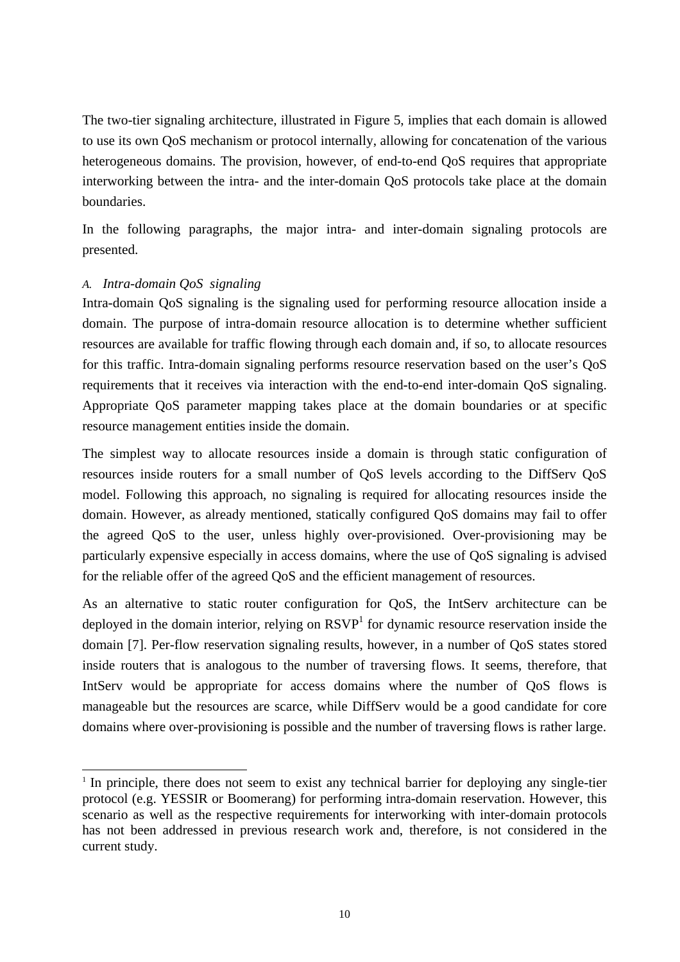The two-tier signaling architecture, illustrated in Figure 5, implies that each domain is allowed to use its own QoS mechanism or protocol internally, allowing for concatenation of the various heterogeneous domains. The provision, however, of end-to-end QoS requires that appropriate interworking between the intra- and the inter-domain QoS protocols take place at the domain boundaries.

In the following paragraphs, the major intra- and inter-domain signaling protocols are presented.

## *A. Intra-domain QoS signaling*

 $\overline{a}$ 

Intra-domain QoS signaling is the signaling used for performing resource allocation inside a domain. The purpose of intra-domain resource allocation is to determine whether sufficient resources are available for traffic flowing through each domain and, if so, to allocate resources for this traffic. Intra-domain signaling performs resource reservation based on the user's QoS requirements that it receives via interaction with the end-to-end inter-domain QoS signaling. Appropriate QoS parameter mapping takes place at the domain boundaries or at specific resource management entities inside the domain.

The simplest way to allocate resources inside a domain is through static configuration of resources inside routers for a small number of QoS levels according to the DiffServ QoS model. Following this approach, no signaling is required for allocating resources inside the domain. However, as already mentioned, statically configured QoS domains may fail to offer the agreed QoS to the user, unless highly over-provisioned. Over-provisioning may be particularly expensive especially in access domains, where the use of QoS signaling is advised for the reliable offer of the agreed QoS and the efficient management of resources.

As an alternative to static router configuration for QoS, the IntServ architecture can be deployed in the domain interior, relying on  $RSVP<sup>1</sup>$  for dynamic resource reservation inside the domain [7]. Per-flow reservation signaling results, however, in a number of QoS states stored inside routers that is analogous to the number of traversing flows. It seems, therefore, that IntServ would be appropriate for access domains where the number of QoS flows is manageable but the resources are scarce, while DiffServ would be a good candidate for core domains where over-provisioning is possible and the number of traversing flows is rather large.

<sup>&</sup>lt;sup>1</sup> In principle, there does not seem to exist any technical barrier for deploying any single-tier protocol (e.g. YESSIR or Boomerang) for performing intra-domain reservation. However, this scenario as well as the respective requirements for interworking with inter-domain protocols has not been addressed in previous research work and, therefore, is not considered in the current study.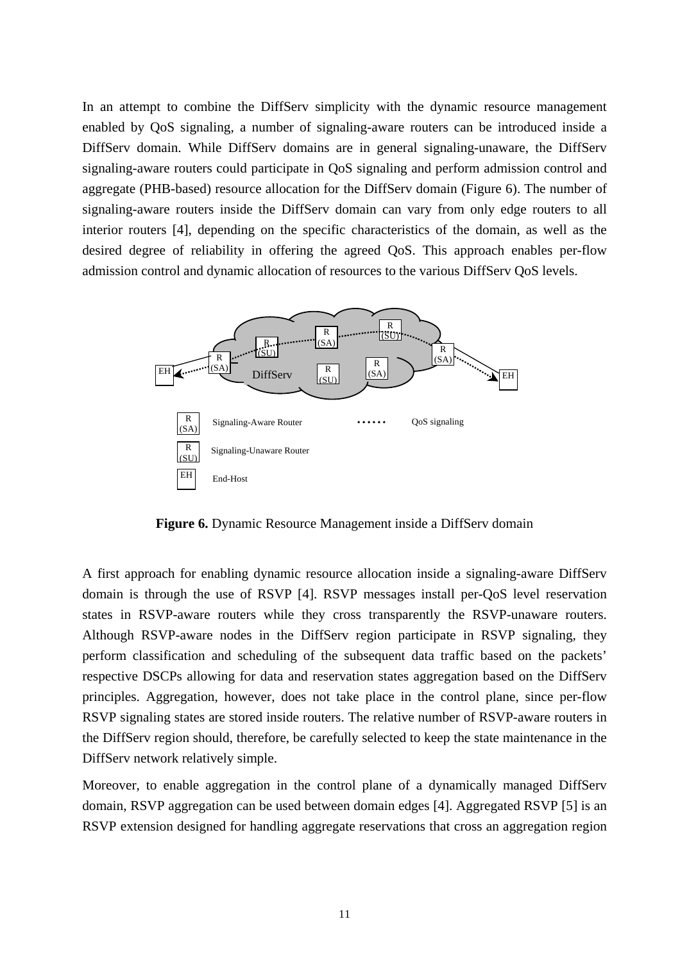In an attempt to combine the DiffServ simplicity with the dynamic resource management enabled by QoS signaling, a number of signaling-aware routers can be introduced inside a DiffServ domain. While DiffServ domains are in general signaling-unaware, the DiffServ signaling-aware routers could participate in QoS signaling and perform admission control and aggregate (PHB-based) resource allocation for the DiffServ domain (Figure 6). The number of signaling-aware routers inside the DiffServ domain can vary from only edge routers to all interior routers [4], depending on the specific characteristics of the domain, as well as the desired degree of reliability in offering the agreed QoS. This approach enables per-flow admission control and dynamic allocation of resources to the various DiffServ QoS levels.



**Figure 6.** Dynamic Resource Management inside a DiffServ domain

A first approach for enabling dynamic resource allocation inside a signaling-aware DiffServ domain is through the use of RSVP [4]. RSVP messages install per-QoS level reservation states in RSVP-aware routers while they cross transparently the RSVP-unaware routers. Although RSVP-aware nodes in the DiffServ region participate in RSVP signaling, they perform classification and scheduling of the subsequent data traffic based on the packets' respective DSCPs allowing for data and reservation states aggregation based on the DiffServ principles. Aggregation, however, does not take place in the control plane, since per-flow RSVP signaling states are stored inside routers. The relative number of RSVP-aware routers in the DiffServ region should, therefore, be carefully selected to keep the state maintenance in the DiffServ network relatively simple.

Moreover, to enable aggregation in the control plane of a dynamically managed DiffServ domain, RSVP aggregation can be used between domain edges [4]. Aggregated RSVP [5] is an RSVP extension designed for handling aggregate reservations that cross an aggregation region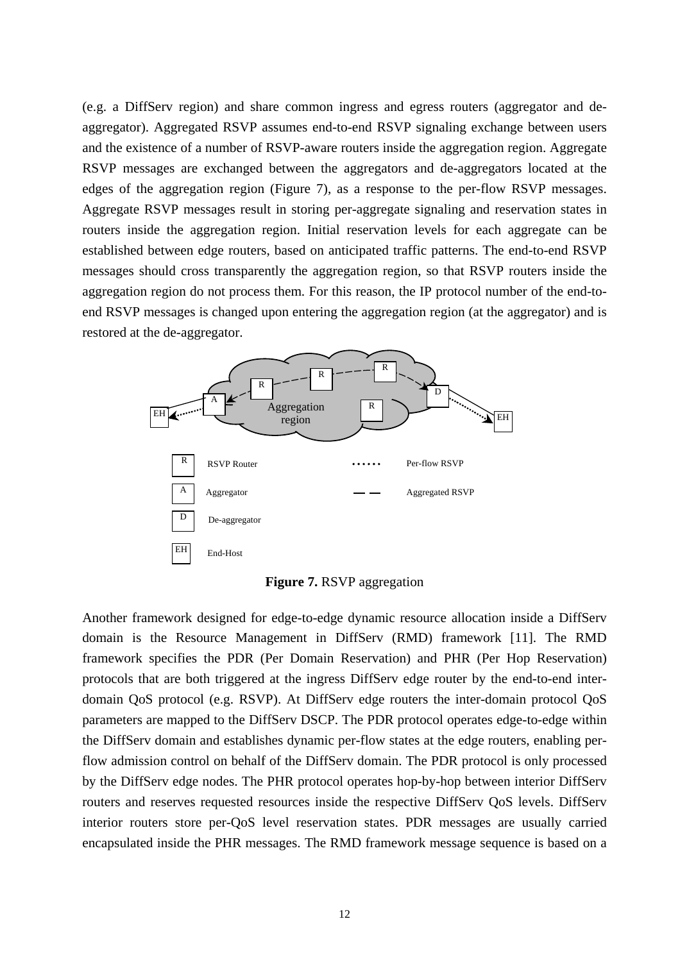(e.g. a DiffServ region) and share common ingress and egress routers (aggregator and deaggregator). Aggregated RSVP assumes end-to-end RSVP signaling exchange between users and the existence of a number of RSVP-aware routers inside the aggregation region. Aggregate RSVP messages are exchanged between the aggregators and de-aggregators located at the edges of the aggregation region (Figure 7), as a response to the per-flow RSVP messages. Aggregate RSVP messages result in storing per-aggregate signaling and reservation states in routers inside the aggregation region. Initial reservation levels for each aggregate can be established between edge routers, based on anticipated traffic patterns. The end-to-end RSVP messages should cross transparently the aggregation region, so that RSVP routers inside the aggregation region do not process them. For this reason, the IP protocol number of the end-toend RSVP messages is changed upon entering the aggregation region (at the aggregator) and is restored at the de-aggregator.



**Figure 7.** RSVP aggregation

Another framework designed for edge-to-edge dynamic resource allocation inside a DiffServ domain is the Resource Management in DiffServ (RMD) framework [11]. The RMD framework specifies the PDR (Per Domain Reservation) and PHR (Per Hop Reservation) protocols that are both triggered at the ingress DiffServ edge router by the end-to-end interdomain QoS protocol (e.g. RSVP). At DiffServ edge routers the inter-domain protocol QoS parameters are mapped to the DiffServ DSCP. The PDR protocol operates edge-to-edge within the DiffServ domain and establishes dynamic per-flow states at the edge routers, enabling perflow admission control on behalf of the DiffServ domain. The PDR protocol is only processed by the DiffServ edge nodes. The PHR protocol operates hop-by-hop between interior DiffServ routers and reserves requested resources inside the respective DiffServ QoS levels. DiffServ interior routers store per-QoS level reservation states. PDR messages are usually carried encapsulated inside the PHR messages. The RMD framework message sequence is based on a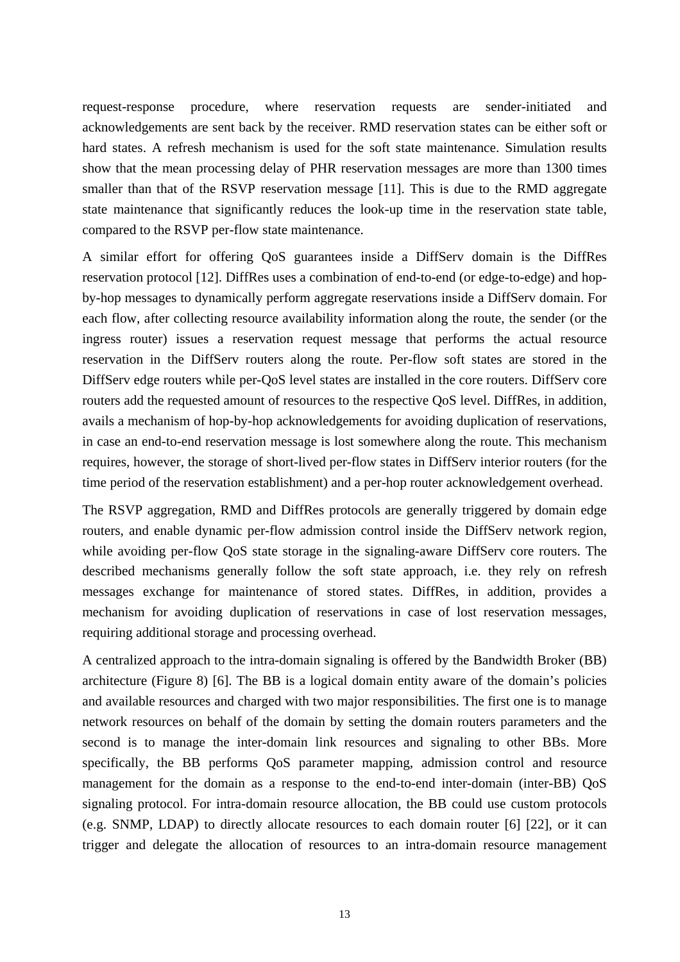request-response procedure, where reservation requests are sender-initiated and acknowledgements are sent back by the receiver. RMD reservation states can be either soft or hard states. A refresh mechanism is used for the soft state maintenance. Simulation results show that the mean processing delay of PHR reservation messages are more than 1300 times smaller than that of the RSVP reservation message [11]. This is due to the RMD aggregate state maintenance that significantly reduces the look-up time in the reservation state table, compared to the RSVP per-flow state maintenance.

A similar effort for offering QoS guarantees inside a DiffServ domain is the DiffRes reservation protocol [12]. DiffRes uses a combination of end-to-end (or edge-to-edge) and hopby-hop messages to dynamically perform aggregate reservations inside a DiffServ domain. For each flow, after collecting resource availability information along the route, the sender (or the ingress router) issues a reservation request message that performs the actual resource reservation in the DiffServ routers along the route. Per-flow soft states are stored in the DiffServ edge routers while per-QoS level states are installed in the core routers. DiffServ core routers add the requested amount of resources to the respective QoS level. DiffRes, in addition, avails a mechanism of hop-by-hop acknowledgements for avoiding duplication of reservations, in case an end-to-end reservation message is lost somewhere along the route. This mechanism requires, however, the storage of short-lived per-flow states in DiffServ interior routers (for the time period of the reservation establishment) and a per-hop router acknowledgement overhead.

The RSVP aggregation, RMD and DiffRes protocols are generally triggered by domain edge routers, and enable dynamic per-flow admission control inside the DiffServ network region, while avoiding per-flow QoS state storage in the signaling-aware DiffServ core routers. The described mechanisms generally follow the soft state approach, i.e. they rely on refresh messages exchange for maintenance of stored states. DiffRes, in addition, provides a mechanism for avoiding duplication of reservations in case of lost reservation messages, requiring additional storage and processing overhead.

A centralized approach to the intra-domain signaling is offered by the Bandwidth Broker (BB) architecture (Figure 8) [6]. The BB is a logical domain entity aware of the domain's policies and available resources and charged with two major responsibilities. The first one is to manage network resources on behalf of the domain by setting the domain routers parameters and the second is to manage the inter-domain link resources and signaling to other BBs. More specifically, the BB performs QoS parameter mapping, admission control and resource management for the domain as a response to the end-to-end inter-domain (inter-BB) QoS signaling protocol. For intra-domain resource allocation, the BB could use custom protocols (e.g. SNMP, LDAP) to directly allocate resources to each domain router [6] [22], or it can trigger and delegate the allocation of resources to an intra-domain resource management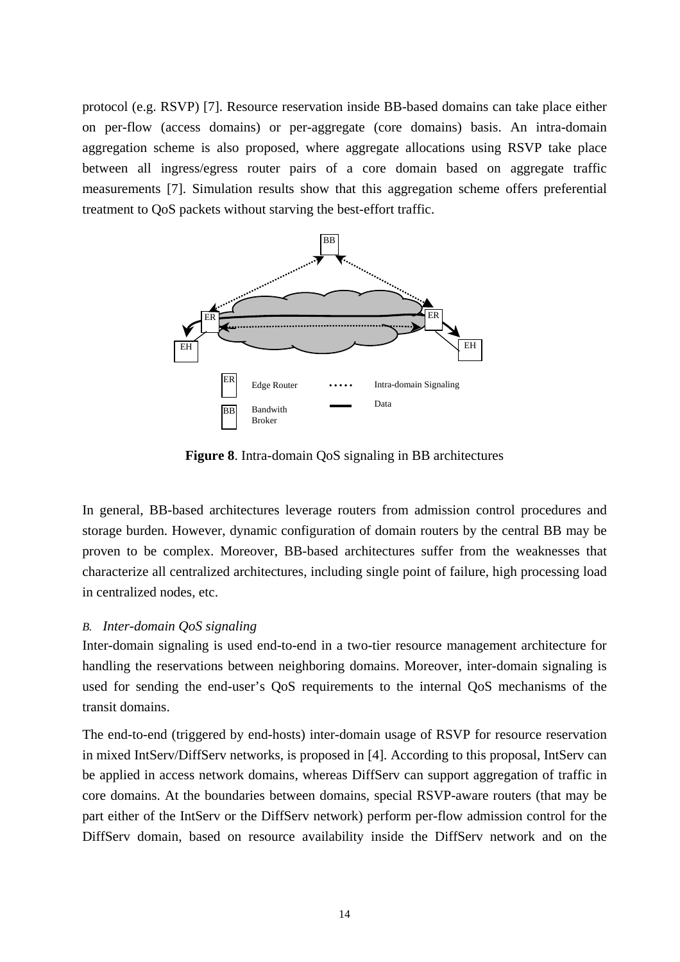protocol (e.g. RSVP) [7]. Resource reservation inside BB-based domains can take place either on per-flow (access domains) or per-aggregate (core domains) basis. An intra-domain aggregation scheme is also proposed, where aggregate allocations using RSVP take place between all ingress/egress router pairs of a core domain based on aggregate traffic measurements [7]. Simulation results show that this aggregation scheme offers preferential treatment to QoS packets without starving the best-effort traffic.



**Figure 8**. Intra-domain QoS signaling in BB architectures

In general, BB-based architectures leverage routers from admission control procedures and storage burden. However, dynamic configuration of domain routers by the central BB may be proven to be complex. Moreover, BB-based architectures suffer from the weaknesses that characterize all centralized architectures, including single point of failure, high processing load in centralized nodes, etc.

## *B. Inter-domain QoS signaling*

Inter-domain signaling is used end-to-end in a two-tier resource management architecture for handling the reservations between neighboring domains. Moreover, inter-domain signaling is used for sending the end-user's QoS requirements to the internal QoS mechanisms of the transit domains.

The end-to-end (triggered by end-hosts) inter-domain usage of RSVP for resource reservation in mixed IntServ/DiffServ networks, is proposed in [4]. According to this proposal, IntServ can be applied in access network domains, whereas DiffServ can support aggregation of traffic in core domains. At the boundaries between domains, special RSVP-aware routers (that may be part either of the IntServ or the DiffServ network) perform per-flow admission control for the DiffServ domain, based on resource availability inside the DiffServ network and on the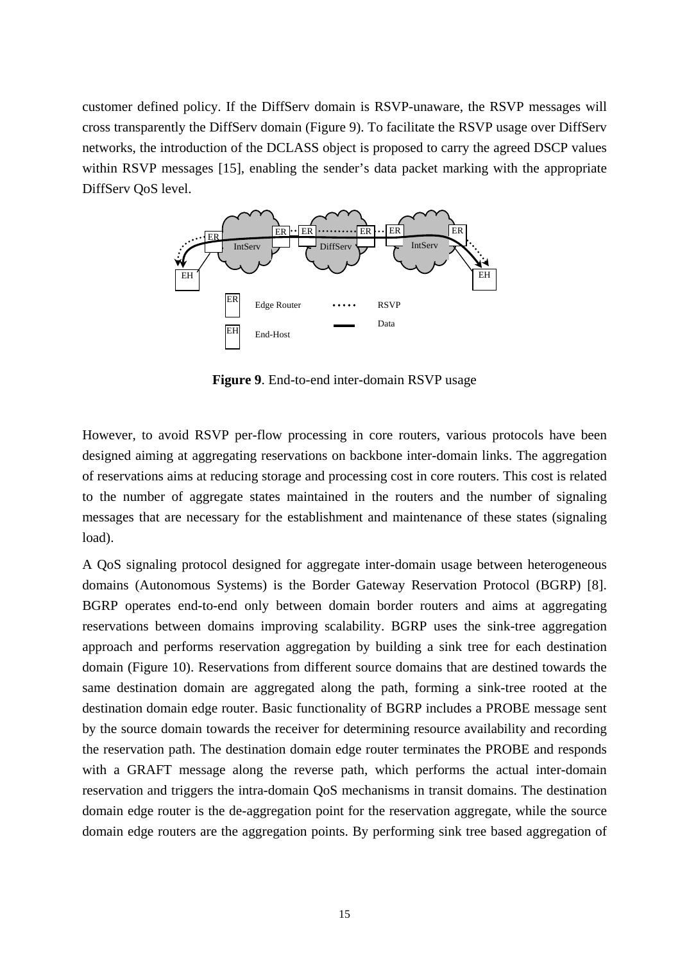customer defined policy. If the DiffServ domain is RSVP-unaware, the RSVP messages will cross transparently the DiffServ domain (Figure 9). To facilitate the RSVP usage over DiffServ networks, the introduction of the DCLASS object is proposed to carry the agreed DSCP values within RSVP messages [15], enabling the sender's data packet marking with the appropriate DiffServ QoS level.



**Figure 9**. End-to-end inter-domain RSVP usage

However, to avoid RSVP per-flow processing in core routers, various protocols have been designed aiming at aggregating reservations on backbone inter-domain links. The aggregation of reservations aims at reducing storage and processing cost in core routers. This cost is related to the number of aggregate states maintained in the routers and the number of signaling messages that are necessary for the establishment and maintenance of these states (signaling load).

A QoS signaling protocol designed for aggregate inter-domain usage between heterogeneous domains (Autonomous Systems) is the Border Gateway Reservation Protocol (BGRP) [8]. BGRP operates end-to-end only between domain border routers and aims at aggregating reservations between domains improving scalability. BGRP uses the sink-tree aggregation approach and performs reservation aggregation by building a sink tree for each destination domain (Figure 10). Reservations from different source domains that are destined towards the same destination domain are aggregated along the path, forming a sink-tree rooted at the destination domain edge router. Basic functionality of BGRP includes a PROBE message sent by the source domain towards the receiver for determining resource availability and recording the reservation path. The destination domain edge router terminates the PROBE and responds with a GRAFT message along the reverse path, which performs the actual inter-domain reservation and triggers the intra-domain QoS mechanisms in transit domains. The destination domain edge router is the de-aggregation point for the reservation aggregate, while the source domain edge routers are the aggregation points. By performing sink tree based aggregation of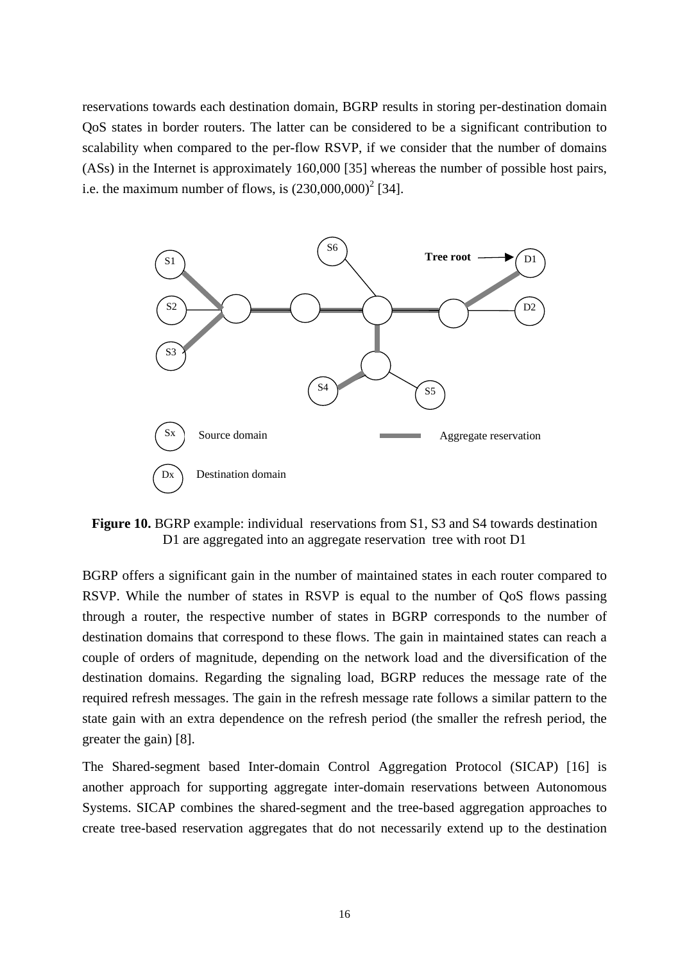reservations towards each destination domain, BGRP results in storing per-destination domain QoS states in border routers. The latter can be considered to be a significant contribution to scalability when compared to the per-flow RSVP, if we consider that the number of domains (ASs) in the Internet is approximately 160,000 [35] whereas the number of possible host pairs, i.e. the maximum number of flows, is  $(230,000,000)^2$  [34].



**Figure 10.** BGRP example: individual reservations from S1, S3 and S4 towards destination D1 are aggregated into an aggregate reservation tree with root D1

BGRP offers a significant gain in the number of maintained states in each router compared to RSVP. While the number of states in RSVP is equal to the number of QoS flows passing through a router, the respective number of states in BGRP corresponds to the number of destination domains that correspond to these flows. The gain in maintained states can reach a couple of orders of magnitude, depending on the network load and the diversification of the destination domains. Regarding the signaling load, BGRP reduces the message rate of the required refresh messages. The gain in the refresh message rate follows a similar pattern to the state gain with an extra dependence on the refresh period (the smaller the refresh period, the greater the gain) [8].

The Shared-segment based Inter-domain Control Aggregation Protocol (SICAP) [16] is another approach for supporting aggregate inter-domain reservations between Autonomous Systems. SICAP combines the shared-segment and the tree-based aggregation approaches to create tree-based reservation aggregates that do not necessarily extend up to the destination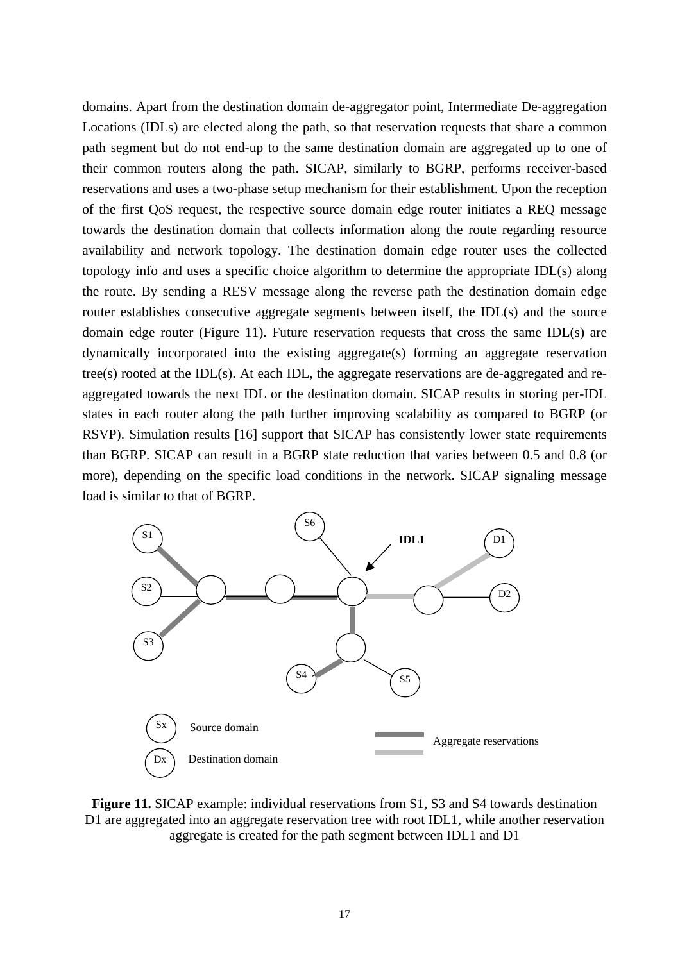domains. Apart from the destination domain de-aggregator point, Intermediate De-aggregation Locations (IDLs) are elected along the path, so that reservation requests that share a common path segment but do not end-up to the same destination domain are aggregated up to one of their common routers along the path. SICAP, similarly to BGRP, performs receiver-based reservations and uses a two-phase setup mechanism for their establishment. Upon the reception of the first QoS request, the respective source domain edge router initiates a REQ message towards the destination domain that collects information along the route regarding resource availability and network topology. The destination domain edge router uses the collected topology info and uses a specific choice algorithm to determine the appropriate IDL(s) along the route. By sending a RESV message along the reverse path the destination domain edge router establishes consecutive aggregate segments between itself, the IDL(s) and the source domain edge router (Figure 11). Future reservation requests that cross the same IDL(s) are dynamically incorporated into the existing aggregate(s) forming an aggregate reservation tree(s) rooted at the IDL(s). At each IDL, the aggregate reservations are de-aggregated and reaggregated towards the next IDL or the destination domain. SICAP results in storing per-IDL states in each router along the path further improving scalability as compared to BGRP (or RSVP). Simulation results [16] support that SICAP has consistently lower state requirements than BGRP. SICAP can result in a BGRP state reduction that varies between 0.5 and 0.8 (or more), depending on the specific load conditions in the network. SICAP signaling message load is similar to that of BGRP.



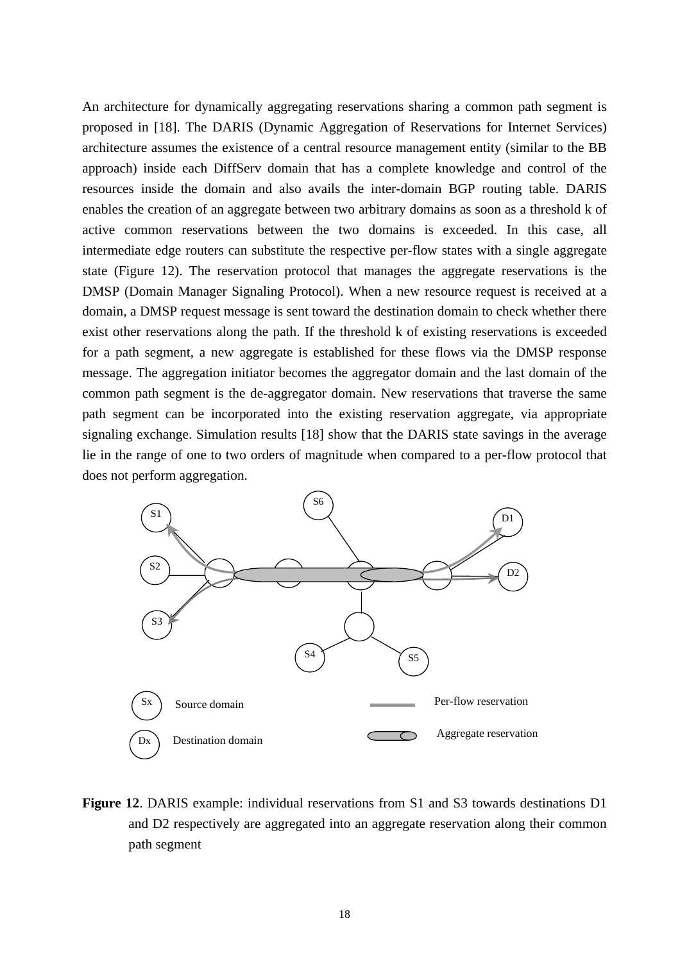An architecture for dynamically aggregating reservations sharing a common path segment is proposed in [18]. The DARIS (Dynamic Aggregation of Reservations for Internet Services) architecture assumes the existence of a central resource management entity (similar to the BB approach) inside each DiffServ domain that has a complete knowledge and control of the resources inside the domain and also avails the inter-domain BGP routing table. DARIS enables the creation of an aggregate between two arbitrary domains as soon as a threshold k of active common reservations between the two domains is exceeded. In this case, all intermediate edge routers can substitute the respective per-flow states with a single aggregate state (Figure 12). The reservation protocol that manages the aggregate reservations is the DMSP (Domain Manager Signaling Protocol). When a new resource request is received at a domain, a DMSP request message is sent toward the destination domain to check whether there exist other reservations along the path. If the threshold k of existing reservations is exceeded for a path segment, a new aggregate is established for these flows via the DMSP response message. The aggregation initiator becomes the aggregator domain and the last domain of the common path segment is the de-aggregator domain. New reservations that traverse the same path segment can be incorporated into the existing reservation aggregate, via appropriate signaling exchange. Simulation results [18] show that the DARIS state savings in the average lie in the range of one to two orders of magnitude when compared to a per-flow protocol that does not perform aggregation.



**Figure 12**. DARIS example: individual reservations from S1 and S3 towards destinations D1 and D2 respectively are aggregated into an aggregate reservation along their common path segment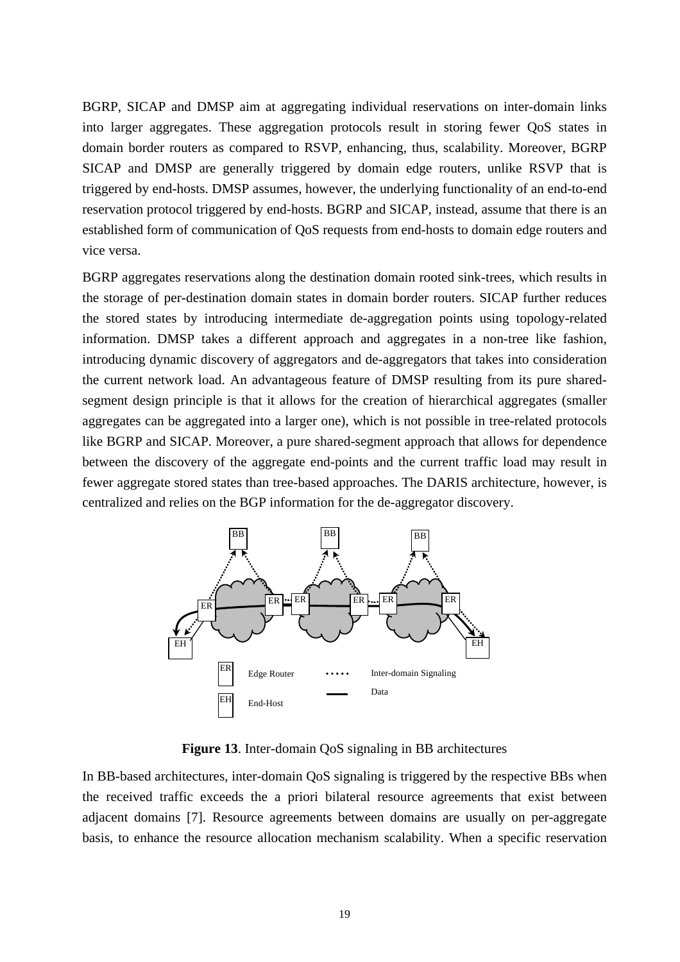BGRP, SICAP and DMSP aim at aggregating individual reservations on inter-domain links into larger aggregates. These aggregation protocols result in storing fewer QoS states in domain border routers as compared to RSVP, enhancing, thus, scalability. Moreover, BGRP SICAP and DMSP are generally triggered by domain edge routers, unlike RSVP that is triggered by end-hosts. DMSP assumes, however, the underlying functionality of an end-to-end reservation protocol triggered by end-hosts. BGRP and SICAP, instead, assume that there is an established form of communication of QoS requests from end-hosts to domain edge routers and vice versa.

BGRP aggregates reservations along the destination domain rooted sink-trees, which results in the storage of per-destination domain states in domain border routers. SICAP further reduces the stored states by introducing intermediate de-aggregation points using topology-related information. DMSP takes a different approach and aggregates in a non-tree like fashion, introducing dynamic discovery of aggregators and de-aggregators that takes into consideration the current network load. An advantageous feature of DMSP resulting from its pure sharedsegment design principle is that it allows for the creation of hierarchical aggregates (smaller aggregates can be aggregated into a larger one), which is not possible in tree-related protocols like BGRP and SICAP. Moreover, a pure shared-segment approach that allows for dependence between the discovery of the aggregate end-points and the current traffic load may result in fewer aggregate stored states than tree-based approaches. The DARIS architecture, however, is centralized and relies on the BGP information for the de-aggregator discovery.



**Figure 13**. Inter-domain QoS signaling in BB architectures

In BB-based architectures, inter-domain QoS signaling is triggered by the respective BBs when the received traffic exceeds the a priori bilateral resource agreements that exist between adjacent domains [7]. Resource agreements between domains are usually on per-aggregate basis, to enhance the resource allocation mechanism scalability. When a specific reservation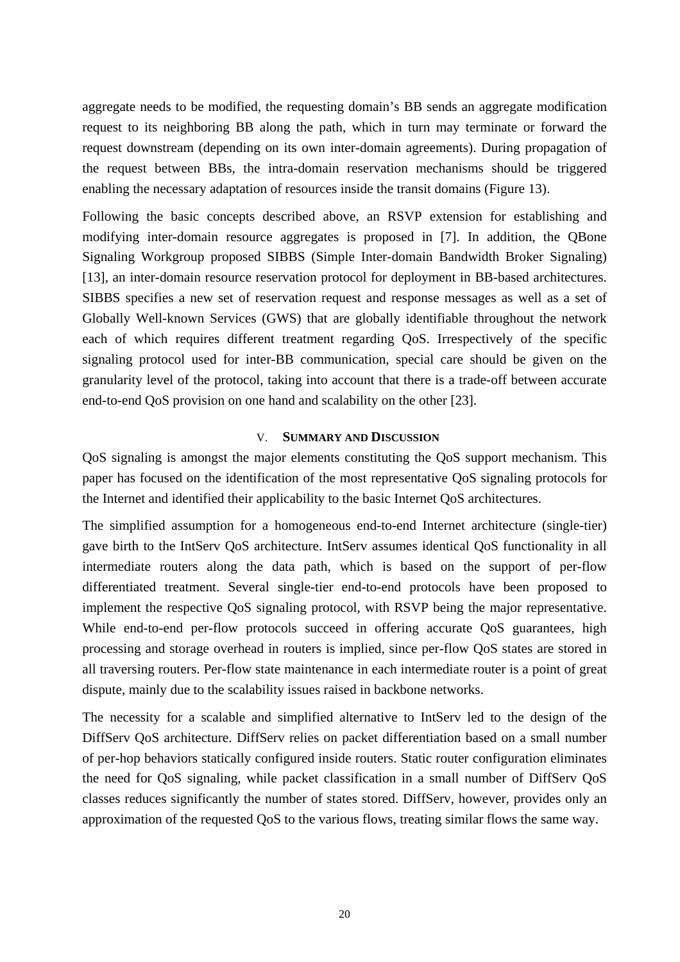aggregate needs to be modified, the requesting domain's BB sends an aggregate modification request to its neighboring BB along the path, which in turn may terminate or forward the request downstream (depending on its own inter-domain agreements). During propagation of the request between BBs, the intra-domain reservation mechanisms should be triggered enabling the necessary adaptation of resources inside the transit domains (Figure 13).

Following the basic concepts described above, an RSVP extension for establishing and modifying inter-domain resource aggregates is proposed in [7]. In addition, the QBone Signaling Workgroup proposed SIBBS (Simple Inter-domain Bandwidth Broker Signaling) [13], an inter-domain resource reservation protocol for deployment in BB-based architectures. SIBBS specifies a new set of reservation request and response messages as well as a set of Globally Well-known Services (GWS) that are globally identifiable throughout the network each of which requires different treatment regarding QoS. Irrespectively of the specific signaling protocol used for inter-BB communication, special care should be given on the granularity level of the protocol, taking into account that there is a trade-off between accurate end-to-end QoS provision on one hand and scalability on the other [23].

## V. **SUMMARY AND DISCUSSION**

QoS signaling is amongst the major elements constituting the QoS support mechanism. This paper has focused on the identification of the most representative QoS signaling protocols for the Internet and identified their applicability to the basic Internet QoS architectures.

The simplified assumption for a homogeneous end-to-end Internet architecture (single-tier) gave birth to the IntServ QoS architecture. IntServ assumes identical QoS functionality in all intermediate routers along the data path, which is based on the support of per-flow differentiated treatment. Several single-tier end-to-end protocols have been proposed to implement the respective QoS signaling protocol, with RSVP being the major representative. While end-to-end per-flow protocols succeed in offering accurate QoS guarantees, high processing and storage overhead in routers is implied, since per-flow QoS states are stored in all traversing routers. Per-flow state maintenance in each intermediate router is a point of great dispute, mainly due to the scalability issues raised in backbone networks.

The necessity for a scalable and simplified alternative to IntServ led to the design of the DiffServ QoS architecture. DiffServ relies on packet differentiation based on a small number of per-hop behaviors statically configured inside routers. Static router configuration eliminates the need for QoS signaling, while packet classification in a small number of DiffServ QoS classes reduces significantly the number of states stored. DiffServ, however, provides only an approximation of the requested QoS to the various flows, treating similar flows the same way.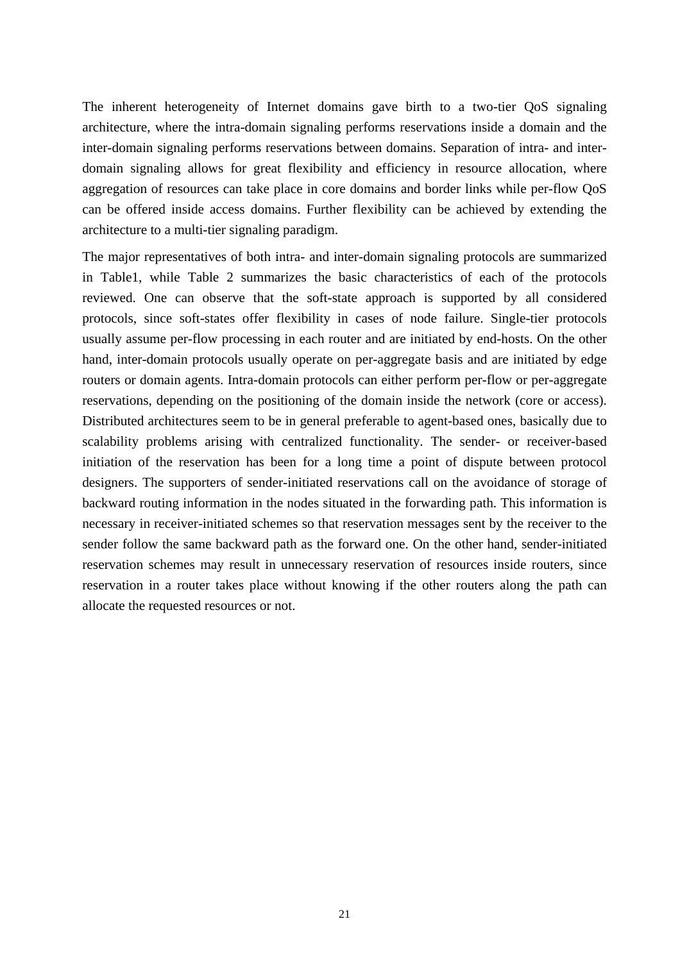The inherent heterogeneity of Internet domains gave birth to a two-tier QoS signaling architecture, where the intra-domain signaling performs reservations inside a domain and the inter-domain signaling performs reservations between domains. Separation of intra- and interdomain signaling allows for great flexibility and efficiency in resource allocation, where aggregation of resources can take place in core domains and border links while per-flow QoS can be offered inside access domains. Further flexibility can be achieved by extending the architecture to a multi-tier signaling paradigm.

The major representatives of both intra- and inter-domain signaling protocols are summarized in Table1, while Table 2 summarizes the basic characteristics of each of the protocols reviewed. One can observe that the soft-state approach is supported by all considered protocols, since soft-states offer flexibility in cases of node failure. Single-tier protocols usually assume per-flow processing in each router and are initiated by end-hosts. On the other hand, inter-domain protocols usually operate on per-aggregate basis and are initiated by edge routers or domain agents. Intra-domain protocols can either perform per-flow or per-aggregate reservations, depending on the positioning of the domain inside the network (core or access). Distributed architectures seem to be in general preferable to agent-based ones, basically due to scalability problems arising with centralized functionality. The sender- or receiver-based initiation of the reservation has been for a long time a point of dispute between protocol designers. The supporters of sender-initiated reservations call on the avoidance of storage of backward routing information in the nodes situated in the forwarding path. This information is necessary in receiver-initiated schemes so that reservation messages sent by the receiver to the sender follow the same backward path as the forward one. On the other hand, sender-initiated reservation schemes may result in unnecessary reservation of resources inside routers, since reservation in a router takes place without knowing if the other routers along the path can allocate the requested resources or not.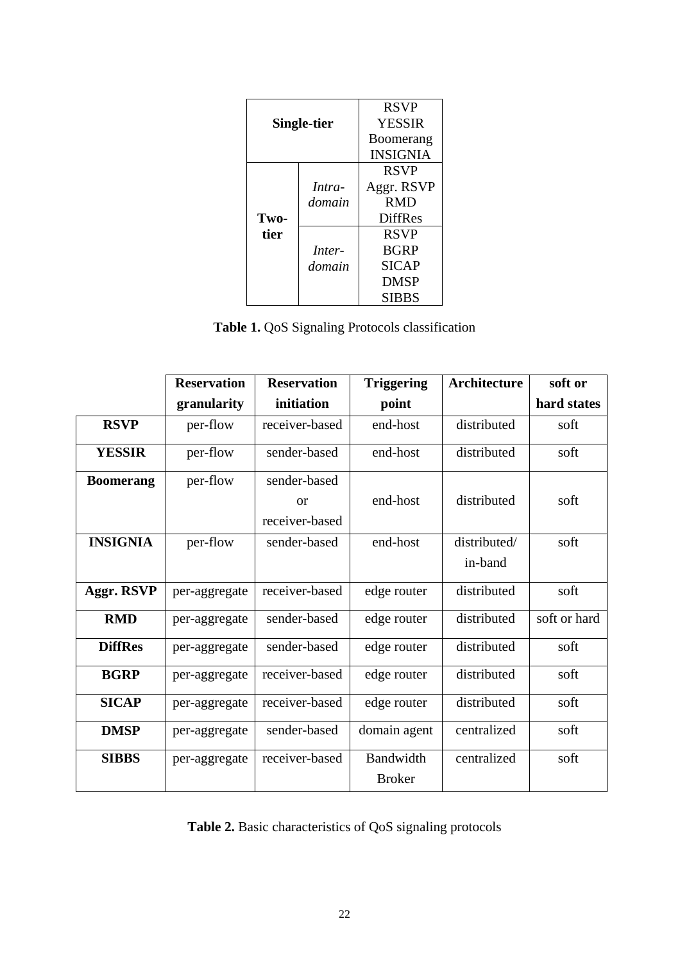| Single-tier |        | <b>RSVP</b>     |  |  |  |
|-------------|--------|-----------------|--|--|--|
|             |        | <b>YESSIR</b>   |  |  |  |
|             |        | Boomerang       |  |  |  |
|             |        | <b>INSIGNIA</b> |  |  |  |
|             |        | <b>RSVP</b>     |  |  |  |
|             | Intra- | Aggr. RSVP      |  |  |  |
|             | domain | <b>RMD</b>      |  |  |  |
| Two-        |        | DiffRes         |  |  |  |
| tier        |        | <b>RSVP</b>     |  |  |  |
|             | Inter- | <b>BGRP</b>     |  |  |  |
|             | domain | <b>SICAP</b>    |  |  |  |
|             |        | <b>DMSP</b>     |  |  |  |
|             |        | <b>SIBBS</b>    |  |  |  |

**Table 1.** QoS Signaling Protocols classification

|                  | <b>Reservation</b> | <b>Reservation</b> | <b>Triggering</b> | <b>Architecture</b> | soft or      |
|------------------|--------------------|--------------------|-------------------|---------------------|--------------|
|                  | granularity        | initiation         | point             |                     | hard states  |
| <b>RSVP</b>      | per-flow           | receiver-based     | end-host          | distributed         | soft         |
| <b>YESSIR</b>    | per-flow           | sender-based       | end-host          | distributed         | soft         |
| <b>Boomerang</b> | per-flow           | sender-based       |                   |                     |              |
|                  |                    | $\alpha$           | end-host          | distributed         | soft         |
|                  |                    | receiver-based     |                   |                     |              |
| <b>INSIGNIA</b>  | per-flow           | sender-based       | end-host          | distributed/        | soft         |
|                  |                    |                    |                   | in-band             |              |
| Aggr. RSVP       | per-aggregate      | receiver-based     | edge router       | distributed         | soft         |
| <b>RMD</b>       | per-aggregate      | sender-based       | edge router       | distributed         | soft or hard |
| <b>DiffRes</b>   | per-aggregate      | sender-based       | edge router       | distributed         | soft         |
| <b>BGRP</b>      | per-aggregate      | receiver-based     | edge router       | distributed         | soft         |
| <b>SICAP</b>     | per-aggregate      | receiver-based     | edge router       | distributed         | soft         |
| <b>DMSP</b>      | per-aggregate      | sender-based       | domain agent      | centralized         | soft         |
| <b>SIBBS</b>     | per-aggregate      | receiver-based     | Bandwidth         | centralized         | soft         |
|                  |                    |                    | <b>Broker</b>     |                     |              |

**Table 2.** Basic characteristics of QoS signaling protocols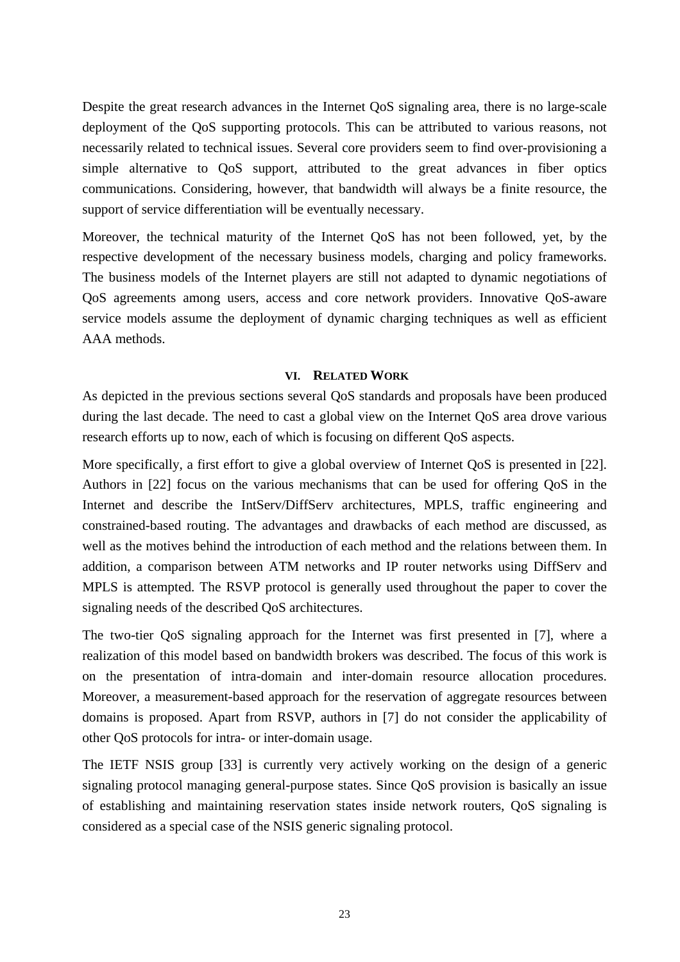Despite the great research advances in the Internet QoS signaling area, there is no large-scale deployment of the QoS supporting protocols. This can be attributed to various reasons, not necessarily related to technical issues. Several core providers seem to find over-provisioning a simple alternative to QoS support, attributed to the great advances in fiber optics communications. Considering, however, that bandwidth will always be a finite resource, the support of service differentiation will be eventually necessary.

Moreover, the technical maturity of the Internet QoS has not been followed, yet, by the respective development of the necessary business models, charging and policy frameworks. The business models of the Internet players are still not adapted to dynamic negotiations of QoS agreements among users, access and core network providers. Innovative QoS-aware service models assume the deployment of dynamic charging techniques as well as efficient AAA methods.

#### **VI. RELATED WORK**

As depicted in the previous sections several QoS standards and proposals have been produced during the last decade. The need to cast a global view on the Internet QoS area drove various research efforts up to now, each of which is focusing on different QoS aspects.

More specifically, a first effort to give a global overview of Internet QoS is presented in [22]. Authors in [22] focus on the various mechanisms that can be used for offering QoS in the Internet and describe the IntServ/DiffServ architectures, MPLS, traffic engineering and constrained-based routing. The advantages and drawbacks of each method are discussed, as well as the motives behind the introduction of each method and the relations between them. In addition, a comparison between ATM networks and IP router networks using DiffServ and MPLS is attempted. The RSVP protocol is generally used throughout the paper to cover the signaling needs of the described QoS architectures.

The two-tier QoS signaling approach for the Internet was first presented in [7], where a realization of this model based on bandwidth brokers was described. The focus of this work is on the presentation of intra-domain and inter-domain resource allocation procedures. Moreover, a measurement-based approach for the reservation of aggregate resources between domains is proposed. Apart from RSVP, authors in [7] do not consider the applicability of other QoS protocols for intra- or inter-domain usage.

The IETF NSIS group [33] is currently very actively working on the design of a generic signaling protocol managing general-purpose states. Since QoS provision is basically an issue of establishing and maintaining reservation states inside network routers, QoS signaling is considered as a special case of the NSIS generic signaling protocol.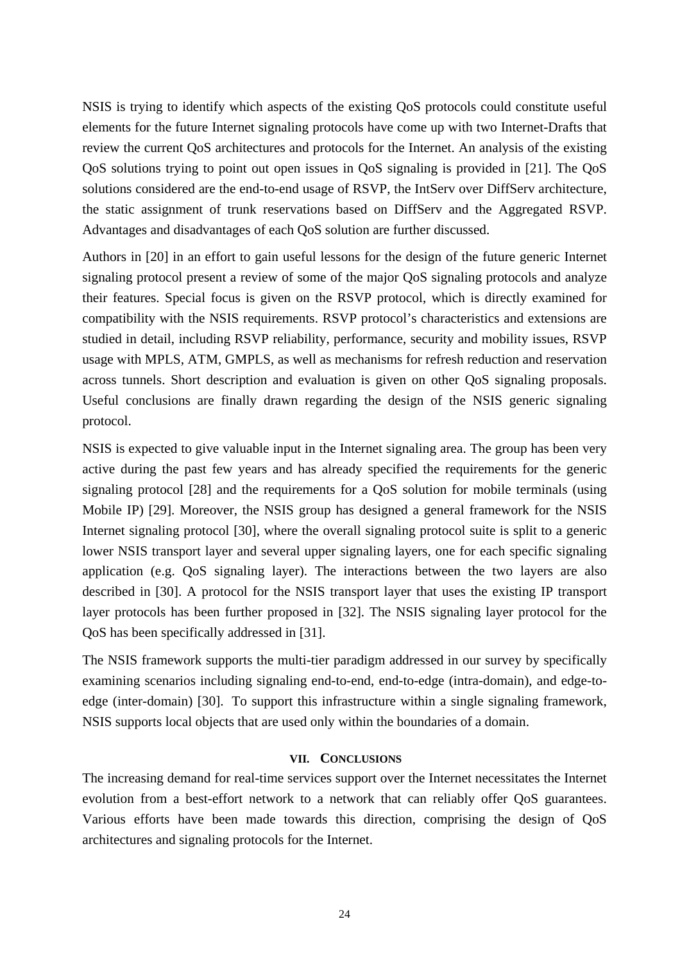NSIS is trying to identify which aspects of the existing QoS protocols could constitute useful elements for the future Internet signaling protocols have come up with two Internet-Drafts that review the current QoS architectures and protocols for the Internet. An analysis of the existing QoS solutions trying to point out open issues in QoS signaling is provided in [21]. The QoS solutions considered are the end-to-end usage of RSVP, the IntServ over DiffServ architecture, the static assignment of trunk reservations based on DiffServ and the Aggregated RSVP. Advantages and disadvantages of each QoS solution are further discussed.

Authors in [20] in an effort to gain useful lessons for the design of the future generic Internet signaling protocol present a review of some of the major QoS signaling protocols and analyze their features. Special focus is given on the RSVP protocol, which is directly examined for compatibility with the NSIS requirements. RSVP protocol's characteristics and extensions are studied in detail, including RSVP reliability, performance, security and mobility issues, RSVP usage with MPLS, ATM, GMPLS, as well as mechanisms for refresh reduction and reservation across tunnels. Short description and evaluation is given on other QoS signaling proposals. Useful conclusions are finally drawn regarding the design of the NSIS generic signaling protocol.

NSIS is expected to give valuable input in the Internet signaling area. The group has been very active during the past few years and has already specified the requirements for the generic signaling protocol [28] and the requirements for a QoS solution for mobile terminals (using Mobile IP) [29]. Moreover, the NSIS group has designed a general framework for the NSIS Internet signaling protocol [30], where the overall signaling protocol suite is split to a generic lower NSIS transport layer and several upper signaling layers, one for each specific signaling application (e.g. QoS signaling layer). The interactions between the two layers are also described in [30]. A protocol for the NSIS transport layer that uses the existing IP transport layer protocols has been further proposed in [32]. The NSIS signaling layer protocol for the QoS has been specifically addressed in [31].

The NSIS framework supports the multi-tier paradigm addressed in our survey by specifically examining scenarios including signaling end-to-end, end-to-edge (intra-domain), and edge-toedge (inter-domain) [30]. To support this infrastructure within a single signaling framework, NSIS supports local objects that are used only within the boundaries of a domain.

## **VII. CONCLUSIONS**

The increasing demand for real-time services support over the Internet necessitates the Internet evolution from a best-effort network to a network that can reliably offer QoS guarantees. Various efforts have been made towards this direction, comprising the design of QoS architectures and signaling protocols for the Internet.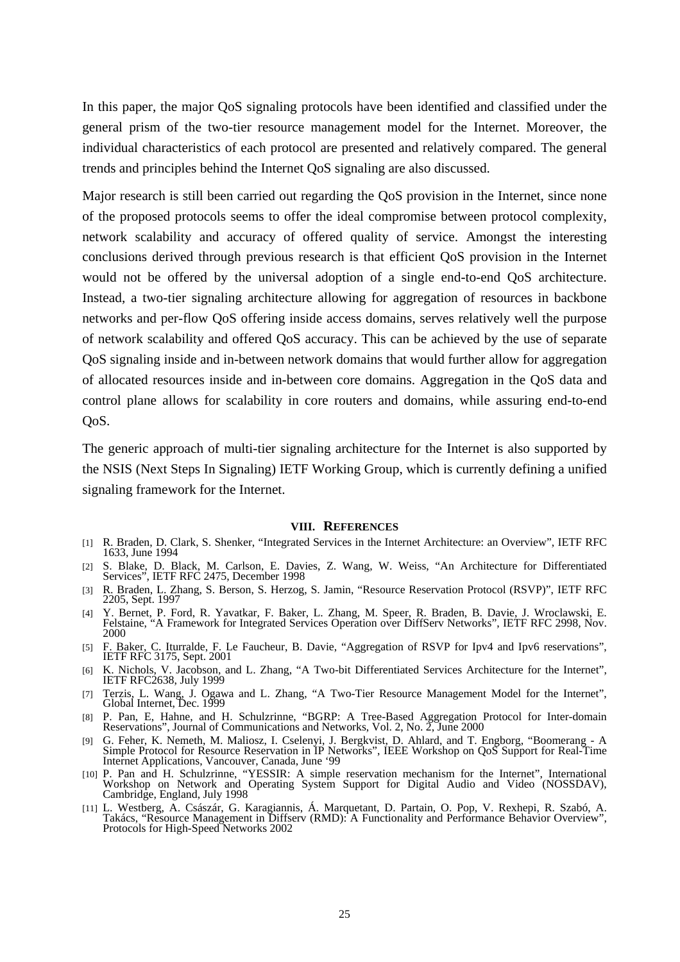In this paper, the major QoS signaling protocols have been identified and classified under the general prism of the two-tier resource management model for the Internet. Moreover, the individual characteristics of each protocol are presented and relatively compared. The general trends and principles behind the Internet QoS signaling are also discussed.

Major research is still been carried out regarding the QoS provision in the Internet, since none of the proposed protocols seems to offer the ideal compromise between protocol complexity, network scalability and accuracy of offered quality of service. Amongst the interesting conclusions derived through previous research is that efficient QoS provision in the Internet would not be offered by the universal adoption of a single end-to-end QoS architecture. Instead, a two-tier signaling architecture allowing for aggregation of resources in backbone networks and per-flow QoS offering inside access domains, serves relatively well the purpose of network scalability and offered QoS accuracy. This can be achieved by the use of separate QoS signaling inside and in-between network domains that would further allow for aggregation of allocated resources inside and in-between core domains. Aggregation in the QoS data and control plane allows for scalability in core routers and domains, while assuring end-to-end QoS.

The generic approach of multi-tier signaling architecture for the Internet is also supported by the NSIS (Next Steps In Signaling) IETF Working Group, which is currently defining a unified signaling framework for the Internet.

#### **VIII. REFERENCES**

- [1] R. Braden, D. Clark, S. Shenker, "Integrated Services in the Internet Architecture: an Overview", IETF RFC 1633, June 1994
- [2] S. Blake, D. Black, M. Carlson, E. Davies, Z. Wang, W. Weiss, "An Architecture for Differentiated Services", IETF RFC 2475, December 1998
- [3] R. Braden, L. Zhang, S. Berson, S. Herzog, S. Jamin, "Resource Reservation Protocol (RSVP)", IETF RFC 2205, Sept. 1997
- [4] Y. Bernet, P. Ford, R. Yavatkar, F. Baker, L. Zhang, M. Speer, R. Braden, B. Davie, J. Wroclawski, E. Felstaine, "A Framework for Integrated Services Operation over DiffServ Networks", IETF RFC 2998, Nov. 2000
- [5] F. Baker, C. Iturralde, F. Le Faucheur, B. Davie, "Aggregation of RSVP for Ipv4 and Ipv6 reservations", IETF RFC 3175, Sept. 2001
- [6] K. Nichols, V. Jacobson, and L. Zhang, "A Two-bit Differentiated Services Architecture for the Internet", IETF RFC2638, July 1999
- [7] Terzis, L. Wang, J. Ogawa and L. Zhang, "A Two-Tier Resource Management Model for the Internet", Global Internet, Dec. 1999
- [8] P. Pan, E, Hahne, and H. Schulzrinne, "BGRP: A Tree-Based Aggregation Protocol for Inter-domain Reservations", Journal of Communications and Networks, Vol. 2, No. 2, June 2000
- [9] G. Feher, K. Nemeth, M. Maliosz, I. Cselenyi, J. Bergkvist, D. Ahlard, and T. Engborg, "Boomerang A Simple Protocol for Resource Reservation in IP Networks", IEEE Workshop on QoS Support for Real-Time Internet Applications, Vancouver, Canada, June '99
- [10] P. Pan and H. Schulzrinne, "YESSIR: A simple reservation mechanism for the Internet", International Workshop on Network and Operating System Support for Digital Audio and Video (NOSSDAV), Cambridge, England, July 1998
- [11] L. Westberg, A. Császár, G. Karagiannis, Á. Marquetant, D. Partain, O. Pop, V. Rexhepi, R. Szabó, A. Takács, "Resource Management in Diffserv (RMD): A Functionality and Performance Behavior Overview", Protocols for High-Speed Networks 2002